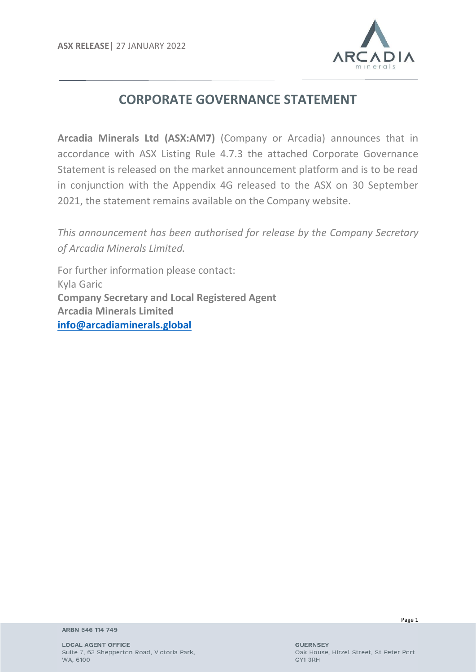

# **CORPORATE GOVERNANCE STATEMENT**

**Arcadia Minerals Ltd (ASX:AM7)** (Company or Arcadia) announces that in accordance with ASX Listing Rule 4.7.3 the attached Corporate Governance Statement is released on the market announcement platform and is to be read in conjunction with the Appendix 4G released to the ASX on 30 September 2021, the statement remains available on the Company website.

*This announcement has been authorised for release by the Company Secretary of Arcadia Minerals Limited.*

For further information please contact: Kyla Garic **Company Secretary and Local Registered Agent Arcadia Minerals Limited [info@arcadiaminerals.global](mailto:info@arcadiaminerals.global)**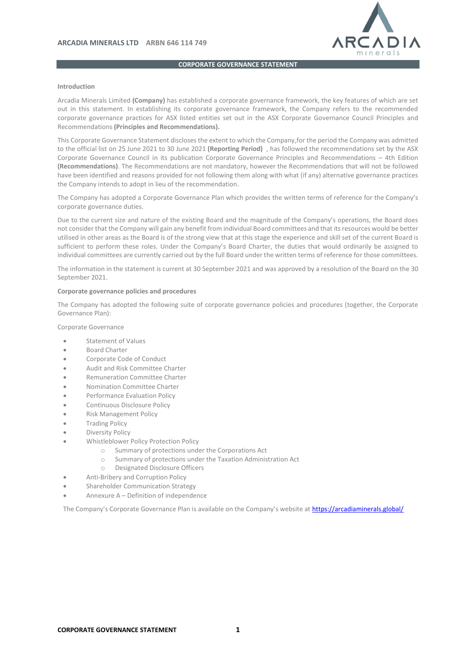

### **CORPORATE GOVERNANCE STATEMENT**

# **Introduction**

Arcadia Minerals Limited **(Company)** has established a corporate governance framework, the key features of which are set out in this statement. In establishing its corporate governance framework, the Company refers to the recommended corporate governance practices for ASX listed entities set out in the ASX Corporate Governance Council Principles and Recommendations **(Principles and Recommendations).**

This Corporate Governance Statement discloses the extent to which the Company,for the period the Company was admitted to the official list on 25 June 2021 to 30 June 2021 **(Reporting Period)** , has followed the recommendations set by the ASX Corporate Governance Council in its publication Corporate Governance Principles and Recommendations – 4th Edition **(Recommendations)**. The Recommendations are not mandatory, however the Recommendations that will not be followed have been identified and reasons provided for not following them along with what (if any) alternative governance practices the Company intends to adopt in lieu of the recommendation.

The Company has adopted a Corporate Governance Plan which provides the written terms of reference for the Company's corporate governance duties.

Due to the current size and nature of the existing Board and the magnitude of the Company's operations, the Board does not consider that the Company will gain any benefit from individual Board committees and that its resources would be better utilised in other areas as the Board is of the strong view that at this stage the experience and skill set of the current Board is sufficient to perform these roles. Under the Company's Board Charter, the duties that would ordinarily be assigned to individual committees are currently carried out by the full Board under the written terms of reference for those committees.

The information in the statement is current at 30 September 2021 and was approved by a resolution of the Board on the 30 September 2021.

### **Corporate governance policies and procedures**

The Company has adopted the following suite of corporate governance policies and procedures (together, the Corporate Governance Plan):

Corporate Governance

- Statement of Values
- Board Charter
- Corporate Code of Conduct
- Audit and Risk Committee Charter
- Remuneration Committee Charter
- Nomination Committee Charter
- Performance Evaluation Policy
- Continuous Disclosure Policy
- Risk Management Policy
- Trading Policy
- Diversity Policy
- Whistleblower Policy Protection Policy
	- o Summary of protections under the Corporations Act
	- o Summary of protections under the Taxation Administration Act
	- o Designated Disclosure Officers
- Anti-Bribery and Corruption Policy
- Shareholder Communication Strategy
- Annexure A Definition of independence

The Company's Corporate Governance Plan is available on the Company's website at **<https://arcadiaminerals.global/>**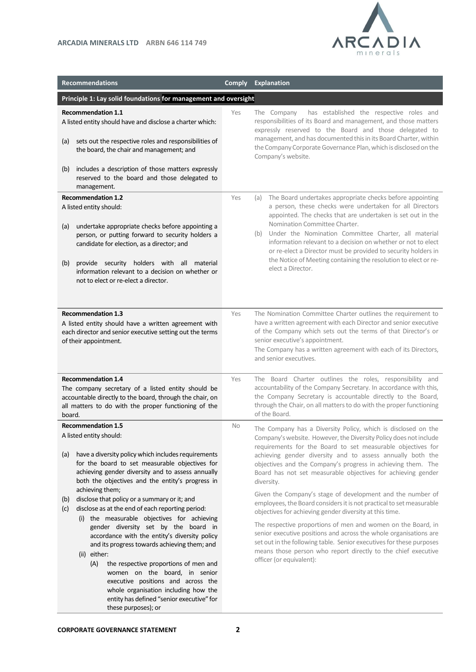

| <b>Recommendations</b>                                                                                                                                                                                                                                                                                                                                                                                                                                                                                                                                    | <b>Comply</b> | <b>Explanation</b>                                                                                                                                                                                                                                                                                                                                                                                                                                                                                                     |  |  |
|-----------------------------------------------------------------------------------------------------------------------------------------------------------------------------------------------------------------------------------------------------------------------------------------------------------------------------------------------------------------------------------------------------------------------------------------------------------------------------------------------------------------------------------------------------------|---------------|------------------------------------------------------------------------------------------------------------------------------------------------------------------------------------------------------------------------------------------------------------------------------------------------------------------------------------------------------------------------------------------------------------------------------------------------------------------------------------------------------------------------|--|--|
| Principle 1: Lay solid foundations for management and oversight                                                                                                                                                                                                                                                                                                                                                                                                                                                                                           |               |                                                                                                                                                                                                                                                                                                                                                                                                                                                                                                                        |  |  |
| <b>Recommendation 1.1</b><br>A listed entity should have and disclose a charter which:<br>sets out the respective roles and responsibilities of<br>(a)<br>the board, the chair and management; and<br>includes a description of those matters expressly<br>(b)<br>reserved to the board and those delegated to                                                                                                                                                                                                                                            | Yes           | has established the respective roles and<br>The Company<br>responsibilities of its Board and management, and those matters<br>expressly reserved to the Board and those delegated to<br>management, and has documented this in its Board Charter, within<br>the Company Corporate Governance Plan, which is disclosed on the<br>Company's website.                                                                                                                                                                     |  |  |
| management.                                                                                                                                                                                                                                                                                                                                                                                                                                                                                                                                               |               |                                                                                                                                                                                                                                                                                                                                                                                                                                                                                                                        |  |  |
| <b>Recommendation 1.2</b><br>A listed entity should:<br>undertake appropriate checks before appointing a<br>(a)<br>person, or putting forward to security holders a<br>candidate for election, as a director; and<br>provide security holders with all material<br>(b)<br>information relevant to a decision on whether or<br>not to elect or re-elect a director.                                                                                                                                                                                        | Yes           | The Board undertakes appropriate checks before appointing<br>(a)<br>a person, these checks were undertaken for all Directors<br>appointed. The checks that are undertaken is set out in the<br>Nomination Committee Charter.<br>Under the Nomination Committee Charter, all material<br>(b)<br>information relevant to a decision on whether or not to elect<br>or re-elect a Director must be provided to security holders in<br>the Notice of Meeting containing the resolution to elect or re-<br>elect a Director. |  |  |
| <b>Recommendation 1.3</b><br>A listed entity should have a written agreement with<br>each director and senior executive setting out the terms<br>of their appointment.                                                                                                                                                                                                                                                                                                                                                                                    | Yes           | The Nomination Committee Charter outlines the requirement to<br>have a written agreement with each Director and senior executive<br>of the Company which sets out the terms of that Director's or<br>senior executive's appointment.                                                                                                                                                                                                                                                                                   |  |  |
|                                                                                                                                                                                                                                                                                                                                                                                                                                                                                                                                                           |               | The Company has a written agreement with each of its Directors,<br>and senior executives.                                                                                                                                                                                                                                                                                                                                                                                                                              |  |  |
| <b>Recommendation 1.4</b><br>The company secretary of a listed entity should be<br>accountable directly to the board, through the chair, on<br>all matters to do with the proper functioning of the<br>board.                                                                                                                                                                                                                                                                                                                                             | Yes           | The Board Charter outlines the roles, responsibility and<br>accountability of the Company Secretary. In accordance with this,<br>the Company Secretary is accountable directly to the Board,<br>through the Chair, on all matters to do with the proper functioning<br>of the Board.                                                                                                                                                                                                                                   |  |  |
| <b>Recommendation 1.5</b><br>A listed entity should:<br>(a) have a diversity policy which includes requirements<br>for the board to set measurable objectives for<br>achieving gender diversity and to assess annually<br>both the objectives and the entity's progress in<br>achieving them;                                                                                                                                                                                                                                                             | <b>No</b>     | The Company has a Diversity Policy, which is disclosed on the<br>Company's website. However, the Diversity Policy does not include<br>requirements for the Board to set measurable objectives for<br>achieving gender diversity and to assess annually both the<br>objectives and the Company's progress in achieving them. The<br>Board has not set measurable objectives for achieving gender<br>diversity.                                                                                                          |  |  |
| disclose that policy or a summary or it; and<br>(b)<br>disclose as at the end of each reporting period:<br>(c)<br>(i) the measurable objectives for achieving<br>gender diversity set by the board in<br>accordance with the entity's diversity policy<br>and its progress towards achieving them; and<br>(ii) either:<br>(A)<br>the respective proportions of men and<br>women on the board, in senior<br>executive positions and across the<br>whole organisation including how the<br>entity has defined "senior executive" for<br>these purposes); or |               | Given the Company's stage of development and the number of<br>employees, the Board considers it is not practical to set measurable<br>objectives for achieving gender diversity at this time.<br>The respective proportions of men and women on the Board, in<br>senior executive positions and across the whole organisations are<br>set out in the following table. Senior executives for these purposes<br>means those person who report directly to the chief executive<br>officer (or equivalent):                |  |  |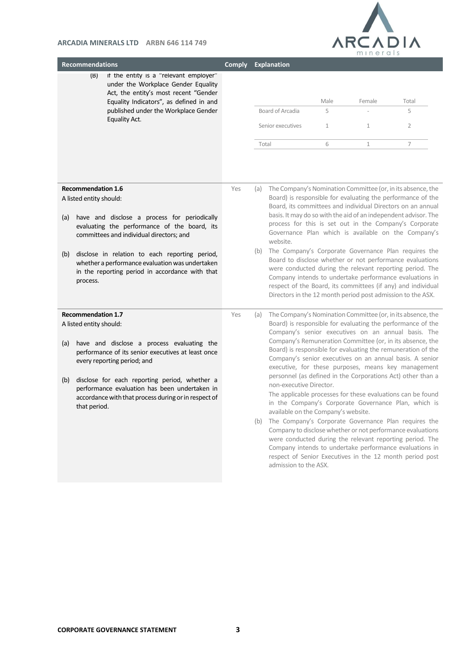

|     | <b>Recommendations</b>    |                                                                                                                        | <b>Comply</b> |     | <b>Explanation</b>                  |      |              |                                                                                                                            |  |
|-----|---------------------------|------------------------------------------------------------------------------------------------------------------------|---------------|-----|-------------------------------------|------|--------------|----------------------------------------------------------------------------------------------------------------------------|--|
|     | (B)                       | if the entity is a "relevant employer"<br>under the Workplace Gender Equality<br>Act, the entity's most recent "Gender |               |     |                                     |      |              |                                                                                                                            |  |
|     |                           | Equality Indicators", as defined in and                                                                                |               |     |                                     | Male | Female       | Total                                                                                                                      |  |
|     |                           | published under the Workplace Gender                                                                                   |               |     | Board of Arcadia                    | 5    |              | 5                                                                                                                          |  |
|     |                           | Equality Act.                                                                                                          |               |     | Senior executives                   | 1    | $\mathbf{1}$ | $\overline{2}$                                                                                                             |  |
|     |                           |                                                                                                                        |               |     | Total                               | 6    | $\mathbf{1}$ | 7                                                                                                                          |  |
|     |                           |                                                                                                                        |               |     |                                     |      |              |                                                                                                                            |  |
|     | <b>Recommendation 1.6</b> |                                                                                                                        | Yes           | (a) |                                     |      |              | The Company's Nomination Committee (or, in its absence, the                                                                |  |
|     | A listed entity should:   |                                                                                                                        |               |     |                                     |      |              | Board) is responsible for evaluating the performance of the<br>Board, its committees and individual Directors on an annual |  |
| (a) |                           | have and disclose a process for periodically                                                                           |               |     |                                     |      |              | basis. It may do so with the aid of an independent advisor. The                                                            |  |
|     |                           | evaluating the performance of the board, its                                                                           |               |     |                                     |      |              | process for this is set out in the Company's Corporate                                                                     |  |
|     |                           | committees and individual directors; and                                                                               |               |     | website.                            |      |              | Governance Plan which is available on the Company's                                                                        |  |
| (b) |                           | disclose in relation to each reporting period,                                                                         |               | (b) |                                     |      |              | The Company's Corporate Governance Plan requires the                                                                       |  |
|     |                           | whether a performance evaluation was undertaken                                                                        |               |     |                                     |      |              | Board to disclose whether or not performance evaluations<br>were conducted during the relevant reporting period. The       |  |
|     | process.                  | in the reporting period in accordance with that                                                                        |               |     |                                     |      |              | Company intends to undertake performance evaluations in                                                                    |  |
|     |                           |                                                                                                                        |               |     |                                     |      |              | respect of the Board, its committees (if any) and individual                                                               |  |
|     |                           |                                                                                                                        |               |     |                                     |      |              | Directors in the 12 month period post admission to the ASX.                                                                |  |
|     | <b>Recommendation 1.7</b> |                                                                                                                        | Yes           | (a) |                                     |      |              | The Company's Nomination Committee (or, in its absence, the                                                                |  |
|     | A listed entity should:   |                                                                                                                        |               |     |                                     |      |              | Board) is responsible for evaluating the performance of the                                                                |  |
|     |                           |                                                                                                                        |               |     |                                     |      |              | Company's senior executives on an annual basis. The<br>Company's Remuneration Committee (or, in its absence, the           |  |
| (a) |                           | have and disclose a process evaluating the<br>performance of its senior executives at least once                       |               |     |                                     |      |              | Board) is responsible for evaluating the remuneration of the                                                               |  |
|     |                           | every reporting period; and                                                                                            |               |     |                                     |      |              | Company's senior executives on an annual basis. A senior                                                                   |  |
|     |                           |                                                                                                                        |               |     |                                     |      |              | executive, for these purposes, means key management<br>personnel (as defined in the Corporations Act) other than a         |  |
| (b) |                           | disclose for each reporting period, whether a<br>performance evaluation has been undertaken in                         |               |     | non-executive Director.             |      |              |                                                                                                                            |  |
|     |                           | accordance with that process during or in respect of                                                                   |               |     |                                     |      |              | The applicable processes for these evaluations can be found                                                                |  |
|     | that period.              |                                                                                                                        |               |     | available on the Company's website. |      |              | in the Company's Corporate Governance Plan, which is                                                                       |  |
|     |                           |                                                                                                                        |               | (b) |                                     |      |              | The Company's Corporate Governance Plan requires the                                                                       |  |
|     |                           |                                                                                                                        |               |     |                                     |      |              | Company to disclose whether or not performance evaluations<br>were conducted during the relevant reporting period. The     |  |
|     |                           |                                                                                                                        |               |     |                                     |      |              | Company intends to undertake performance evaluations in                                                                    |  |
|     |                           |                                                                                                                        |               |     |                                     |      |              | respect of Senior Executives in the 12 month period post                                                                   |  |
|     |                           |                                                                                                                        |               |     | admission to the ASX.               |      |              |                                                                                                                            |  |
|     |                           |                                                                                                                        |               |     |                                     |      |              |                                                                                                                            |  |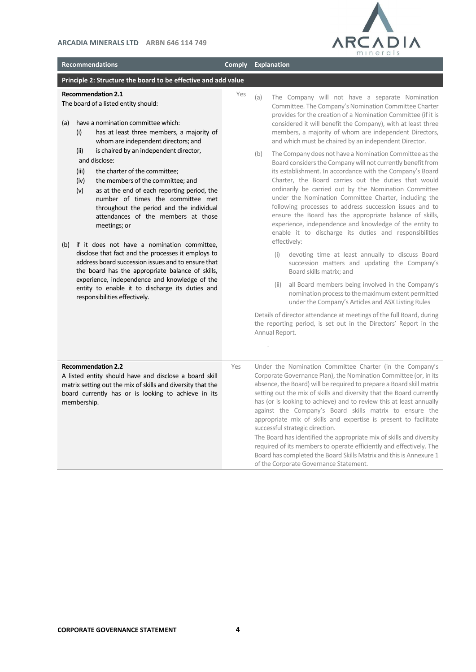

| <b>Recommendations</b>                                                                                                                                                                                                                                                                                                                                                                                                                                                                                                                                                                                                                                                                                                                                                                                                                                                                                                       | <b>Comply</b> | <b>Explanation</b>                                                                                                                                                                                                                                                                                                                                                                                                                                                                                                                                                                                                                                                                                                                                                                                                                                                                                                                                                                                                                                                                                                                                                                                                                                                                                                                                                                                                                                                                    |
|------------------------------------------------------------------------------------------------------------------------------------------------------------------------------------------------------------------------------------------------------------------------------------------------------------------------------------------------------------------------------------------------------------------------------------------------------------------------------------------------------------------------------------------------------------------------------------------------------------------------------------------------------------------------------------------------------------------------------------------------------------------------------------------------------------------------------------------------------------------------------------------------------------------------------|---------------|---------------------------------------------------------------------------------------------------------------------------------------------------------------------------------------------------------------------------------------------------------------------------------------------------------------------------------------------------------------------------------------------------------------------------------------------------------------------------------------------------------------------------------------------------------------------------------------------------------------------------------------------------------------------------------------------------------------------------------------------------------------------------------------------------------------------------------------------------------------------------------------------------------------------------------------------------------------------------------------------------------------------------------------------------------------------------------------------------------------------------------------------------------------------------------------------------------------------------------------------------------------------------------------------------------------------------------------------------------------------------------------------------------------------------------------------------------------------------------------|
| Principle 2: Structure the board to be effective and add value                                                                                                                                                                                                                                                                                                                                                                                                                                                                                                                                                                                                                                                                                                                                                                                                                                                               |               |                                                                                                                                                                                                                                                                                                                                                                                                                                                                                                                                                                                                                                                                                                                                                                                                                                                                                                                                                                                                                                                                                                                                                                                                                                                                                                                                                                                                                                                                                       |
| <b>Recommendation 2.1</b><br>The board of a listed entity should:<br>(a)<br>have a nomination committee which:<br>has at least three members, a majority of<br>(i)<br>whom are independent directors; and<br>is chaired by an independent director,<br>(ii)<br>and disclose:<br>the charter of the committee;<br>(iii)<br>(iv)<br>the members of the committee; and<br>(v)<br>as at the end of each reporting period, the<br>number of times the committee met<br>throughout the period and the individual<br>attendances of the members at those<br>meetings; or<br>if it does not have a nomination committee,<br>(b)<br>disclose that fact and the processes it employs to<br>address board succession issues and to ensure that<br>the board has the appropriate balance of skills,<br>experience, independence and knowledge of the<br>entity to enable it to discharge its duties and<br>responsibilities effectively. | Yes           | The Company will not have a separate Nomination<br>(a)<br>Committee. The Company's Nomination Committee Charter<br>provides for the creation of a Nomination Committee (if it is<br>considered it will benefit the Company), with at least three<br>members, a majority of whom are independent Directors,<br>and which must be chaired by an independent Director.<br>The Company does not have a Nomination Committee as the<br>(b)<br>Board considers the Company will not currently benefit from<br>its establishment. In accordance with the Company's Board<br>Charter, the Board carries out the duties that would<br>ordinarily be carried out by the Nomination Committee<br>under the Nomination Committee Charter, including the<br>following processes to address succession issues and to<br>ensure the Board has the appropriate balance of skills,<br>experience, independence and knowledge of the entity to<br>enable it to discharge its duties and responsibilities<br>effectively:<br>devoting time at least annually to discuss Board<br>(i)<br>succession matters and updating the Company's<br>Board skills matrix; and<br>all Board members being involved in the Company's<br>(ii)<br>nomination process to the maximum extent permitted<br>under the Company's Articles and ASX Listing Rules<br>Details of director attendance at meetings of the full Board, during<br>the reporting period, is set out in the Directors' Report in the<br>Annual Report. |
| <b>Recommendation 2.2</b><br>A listed entity should have and disclose a board skill<br>matrix setting out the mix of skills and diversity that the<br>board currently has or is looking to achieve in its<br>membership.                                                                                                                                                                                                                                                                                                                                                                                                                                                                                                                                                                                                                                                                                                     | Yes           | Under the Nomination Committee Charter (in the Company's<br>Corporate Governance Plan), the Nomination Committee (or, in its<br>absence, the Board) will be required to prepare a Board skill matrix<br>setting out the mix of skills and diversity that the Board currently<br>has (or is looking to achieve) and to review this at least annually<br>against the Company's Board skills matrix to ensure the<br>appropriate mix of skills and expertise is present to facilitate<br>successful strategic direction.<br>The Board has identified the appropriate mix of skills and diversity<br>required of its members to operate efficiently and effectively. The<br>Board has completed the Board Skills Matrix and this is Annexure 1                                                                                                                                                                                                                                                                                                                                                                                                                                                                                                                                                                                                                                                                                                                                            |

of the Corporate Governance Statement.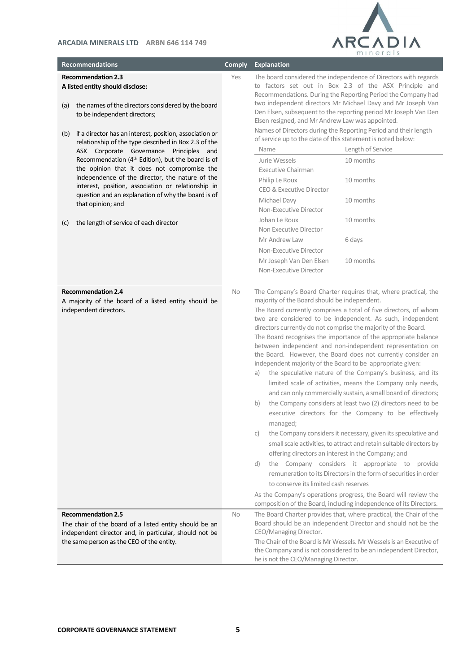

| <b>Recommendations</b>                                                                                                                                                                                                                                                                                                          | <b>Comply</b> | <b>Explanation</b>                                                                                                                                                                                                                                                                                                                                                                                                                                                                                                                                                                                                                                                                                                                                                                                                                                                                                                                                                                                                                                                                                                                                                                                                                                                                                                                                                                                                                                  |
|---------------------------------------------------------------------------------------------------------------------------------------------------------------------------------------------------------------------------------------------------------------------------------------------------------------------------------|---------------|-----------------------------------------------------------------------------------------------------------------------------------------------------------------------------------------------------------------------------------------------------------------------------------------------------------------------------------------------------------------------------------------------------------------------------------------------------------------------------------------------------------------------------------------------------------------------------------------------------------------------------------------------------------------------------------------------------------------------------------------------------------------------------------------------------------------------------------------------------------------------------------------------------------------------------------------------------------------------------------------------------------------------------------------------------------------------------------------------------------------------------------------------------------------------------------------------------------------------------------------------------------------------------------------------------------------------------------------------------------------------------------------------------------------------------------------------------|
| <b>Recommendation 2.3</b><br>A listed entity should disclose:<br>the names of the directors considered by the board<br>(a)<br>to be independent directors;<br>if a director has an interest, position, association or<br>(b)<br>relationship of the type described in Box 2.3 of the<br>ASX Corporate Governance Principles and | Yes           | The board considered the independence of Directors with regards<br>to factors set out in Box 2.3 of the ASX Principle and<br>Recommendations. During the Reporting Period the Company had<br>two independent directors Mr Michael Davy and Mr Joseph Van<br>Den Elsen, subsequent to the reporting period Mr Joseph Van Den<br>Elsen resigned, and Mr Andrew Law was appointed.<br>Names of Directors during the Reporting Period and their length<br>of service up to the date of this statement is noted below:<br>Length of Service<br>Name                                                                                                                                                                                                                                                                                                                                                                                                                                                                                                                                                                                                                                                                                                                                                                                                                                                                                                      |
| Recommendation (4 <sup>th</sup> Edition), but the board is of<br>the opinion that it does not compromise the<br>independence of the director, the nature of the<br>interest, position, association or relationship in<br>question and an explanation of why the board is of<br>that opinion; and                                |               | Jurie Wessels<br>10 months<br><b>Executive Chairman</b><br>10 months<br>Philip Le Roux<br>CEO & Executive Director<br>Michael Davy<br>10 months<br>Non-Executive Director                                                                                                                                                                                                                                                                                                                                                                                                                                                                                                                                                                                                                                                                                                                                                                                                                                                                                                                                                                                                                                                                                                                                                                                                                                                                           |
| the length of service of each director<br>(c)                                                                                                                                                                                                                                                                                   |               | Johan Le Roux<br>10 months<br>Non Executive Director<br>Mr Andrew Law<br>6 days<br>Non-Executive Director<br>Mr Joseph Van Den Elsen<br>10 months<br>Non-Executive Director                                                                                                                                                                                                                                                                                                                                                                                                                                                                                                                                                                                                                                                                                                                                                                                                                                                                                                                                                                                                                                                                                                                                                                                                                                                                         |
| <b>Recommendation 2.4</b><br>A majority of the board of a listed entity should be<br>independent directors.                                                                                                                                                                                                                     | No            | The Company's Board Charter requires that, where practical, the<br>majority of the Board should be independent.<br>The Board currently comprises a total of five directors, of whom<br>two are considered to be independent. As such, independent<br>directors currently do not comprise the majority of the Board.<br>The Board recognises the importance of the appropriate balance<br>between independent and non-independent representation on<br>the Board. However, the Board does not currently consider an<br>independent majority of the Board to be appropriate given:<br>the speculative nature of the Company's business, and its<br>a)<br>limited scale of activities, means the Company only needs,<br>and can only commercially sustain, a small board of directors;<br>the Company considers at least two (2) directors need to be<br>b)<br>executive directors for the Company to be effectively<br>managed;<br>the Company considers it necessary, given its speculative and<br>C)<br>small scale activities, to attract and retain suitable directors by<br>offering directors an interest in the Company; and<br>the Company considers it appropriate to<br>d)<br>provide<br>remuneration to its Directors in the form of securities in order<br>to conserve its limited cash reserves<br>As the Company's operations progress, the Board will review the<br>composition of the Board, including independence of its Directors. |
| <b>Recommendation 2.5</b><br>The chair of the board of a listed entity should be an<br>independent director and, in particular, should not be<br>the same person as the CEO of the entity.                                                                                                                                      | <b>No</b>     | The Board Charter provides that, where practical, the Chair of the<br>Board should be an independent Director and should not be the<br>CEO/Managing Director.<br>The Chair of the Board is Mr Wessels. Mr Wessels is an Executive of<br>the Company and is not considered to be an independent Director,<br>he is not the CEO/Managing Director.                                                                                                                                                                                                                                                                                                                                                                                                                                                                                                                                                                                                                                                                                                                                                                                                                                                                                                                                                                                                                                                                                                    |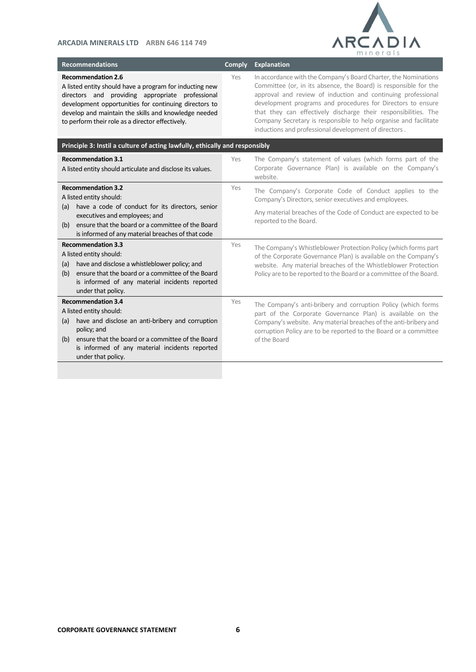

# **Recommendations Comply Explanation**

**Recommendation 2.6** A listed entity should have a program for inducting new directors and providing appropriate professional development opportunities for continuing directors to develop and maintain the skills and knowledge needed

to perform their role as a director effectively.

Yes In accordance with the Company's Board Charter, the Nominations Committee (or, in its absence, the Board) is responsible for the approval and review of induction and continuing professional development programs and procedures for Directors to ensure that they can effectively discharge their responsibilities. The Company Secretary is responsible to help organise and facilitate inductions and professional development of directors .

| Principle 3: Instil a culture of acting lawfully, ethically and responsibly                                                                                                                                                                                        |     |                                                                                                                                                                                                                                                                                     |  |
|--------------------------------------------------------------------------------------------------------------------------------------------------------------------------------------------------------------------------------------------------------------------|-----|-------------------------------------------------------------------------------------------------------------------------------------------------------------------------------------------------------------------------------------------------------------------------------------|--|
| <b>Recommendation 3.1</b><br>A listed entity should articulate and disclose its values.                                                                                                                                                                            | Yes | The Company's statement of values (which forms part of the<br>Corporate Governance Plan) is available on the Company's<br>website.                                                                                                                                                  |  |
| <b>Recommendation 3.2</b><br>A listed entity should:<br>have a code of conduct for its directors, senior<br>(a)<br>executives and employees; and<br>ensure that the board or a committee of the Board<br>(b)<br>is informed of any material breaches of that code  | Yes | The Company's Corporate Code of Conduct applies to the<br>Company's Directors, senior executives and employees.<br>Any material breaches of the Code of Conduct are expected to be<br>reported to the Board.                                                                        |  |
| <b>Recommendation 3.3</b><br>A listed entity should:<br>have and disclose a whistleblower policy; and<br>(a)<br>ensure that the board or a committee of the Board<br>(b)<br>is informed of any material incidents reported<br>under that policy.                   | Yes | The Company's Whistleblower Protection Policy (which forms part<br>of the Corporate Governance Plan) is available on the Company's<br>website. Any material breaches of the Whistleblower Protection<br>Policy are to be reported to the Board or a committee of the Board.         |  |
| <b>Recommendation 3.4</b><br>A listed entity should:<br>have and disclose an anti-bribery and corruption<br>(a)<br>policy; and<br>ensure that the board or a committee of the Board<br>(b)<br>is informed of any material incidents reported<br>under that policy. | Yes | The Company's anti-bribery and corruption Policy (which forms<br>part of the Corporate Governance Plan) is available on the<br>Company's website. Any material breaches of the anti-bribery and<br>corruption Policy are to be reported to the Board or a committee<br>of the Board |  |
|                                                                                                                                                                                                                                                                    |     |                                                                                                                                                                                                                                                                                     |  |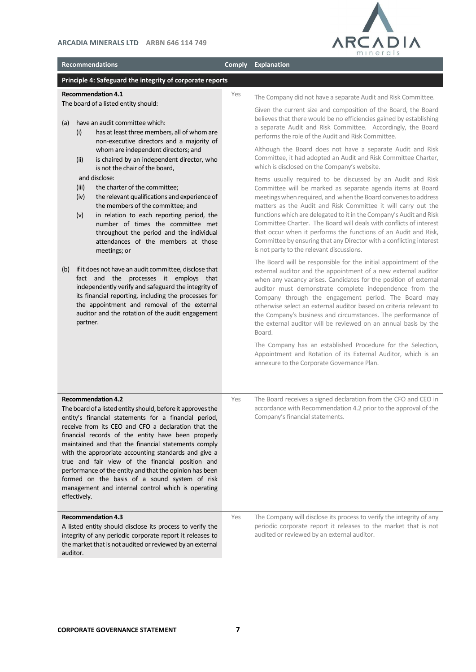

**Recommendations Comply Explanation** 

# **Principle 4: Safeguard the integrity of corporate reports**

## **Recommendation 4.1**

The board of a listed entity should:

- (a) have an audit committee which:
	- (i) has at least three members, all of whom are non-executive directors and a majority of whom are independent directors; and
	- (ii) is chaired by an independent director, who is not the chair of the board,

and disclose:

- (iii) the charter of the committee;
- (iv) the relevant qualifications and experience of the members of the committee; and
- (v) in relation to each reporting period, the number of times the committee met throughout the period and the individual attendances of the members at those meetings; or
- (b) if it does not have an audit committee, disclose that fact and the processes it employs that independently verify and safeguard the integrity of its financial reporting, including the processes for the appointment and removal of the external auditor and the rotation of the audit engagement partner.

Yes The Company did not have a separate Audit and Risk Committee.

Given the current size and composition of the Board, the Board believes that there would be no efficiencies gained by establishing a separate Audit and Risk Committee. Accordingly, the Board performs the role of the Audit and Risk Committee.

Although the Board does not have a separate Audit and Risk Committee, it had adopted an Audit and Risk Committee Charter, which is disclosed on the Company's website.

Items usually required to be discussed by an Audit and Risk Committee will be marked as separate agenda items at Board meetings when required, and when the Board convenesto address matters as the Audit and Risk Committee it will carry out the functions which are delegated to it in the Company's Audit and Risk Committee Charter. The Board will deals with conflicts of interest that occur when it performs the functions of an Audit and Risk, Committee by ensuring that any Director with a conflicting interest is not party to the relevant discussions.

The Board will be responsible for the initial appointment of the external auditor and the appointment of a new external auditor when any vacancy arises. Candidates for the position of external auditor must demonstrate complete independence from the Company through the engagement period. The Board may otherwise select an external auditor based on criteria relevant to the Company's business and circumstances. The performance of the external auditor will be reviewed on an annual basis by the Board.

The Company has an established Procedure for the Selection, Appointment and Rotation of its External Auditor, which is an annexure to the Corporate Governance Plan.

| <b>Recommendation 4.2</b><br>The board of a listed entity should, before it approves the<br>entity's financial statements for a financial period,<br>receive from its CEO and CFO a declaration that the<br>financial records of the entity have been properly<br>maintained and that the financial statements comply<br>with the appropriate accounting standards and give a<br>true and fair view of the financial position and<br>performance of the entity and that the opinion has been<br>formed on the basis of a sound system of risk<br>management and internal control which is operating<br>effectively. | Yes | The Board receives a signed declaration from the CFO and CEO in<br>accordance with Recommendation 4.2 prior to the approval of the<br>Company's financial statements.                  |
|---------------------------------------------------------------------------------------------------------------------------------------------------------------------------------------------------------------------------------------------------------------------------------------------------------------------------------------------------------------------------------------------------------------------------------------------------------------------------------------------------------------------------------------------------------------------------------------------------------------------|-----|----------------------------------------------------------------------------------------------------------------------------------------------------------------------------------------|
| <b>Recommendation 4.3</b><br>A listed entity should disclose its process to verify the<br>integrity of any periodic corporate report it releases to<br>the market that is not audited or reviewed by an external<br>auditor.                                                                                                                                                                                                                                                                                                                                                                                        | Yes | The Company will disclose its process to verify the integrity of any<br>periodic corporate report it releases to the market that is not<br>audited or reviewed by an external auditor. |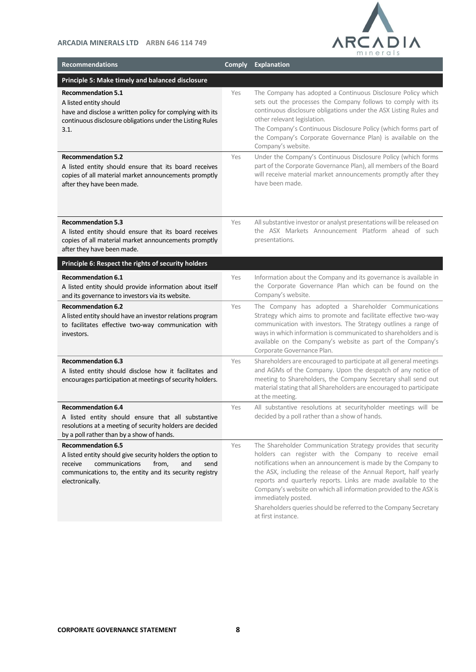

| <b>Recommendations</b>                                                                                                                                                                                                     | <b>Comply</b> | <b>Explanation</b>                                                                                                                                                                                                                                                                                                                                                                                                                                                                                                  |
|----------------------------------------------------------------------------------------------------------------------------------------------------------------------------------------------------------------------------|---------------|---------------------------------------------------------------------------------------------------------------------------------------------------------------------------------------------------------------------------------------------------------------------------------------------------------------------------------------------------------------------------------------------------------------------------------------------------------------------------------------------------------------------|
| Principle 5: Make timely and balanced disclosure                                                                                                                                                                           |               |                                                                                                                                                                                                                                                                                                                                                                                                                                                                                                                     |
| <b>Recommendation 5.1</b><br>A listed entity should<br>have and disclose a written policy for complying with its<br>continuous disclosure obligations under the Listing Rules<br>3.1.                                      | Yes           | The Company has adopted a Continuous Disclosure Policy which<br>sets out the processes the Company follows to comply with its<br>continuous disclosure obligations under the ASX Listing Rules and<br>other relevant legislation.<br>The Company's Continuous Disclosure Policy (which forms part of<br>the Company's Corporate Governance Plan) is available on the<br>Company's website.                                                                                                                          |
| <b>Recommendation 5.2</b><br>A listed entity should ensure that its board receives<br>copies of all material market announcements promptly<br>after they have been made.                                                   | Yes           | Under the Company's Continuous Disclosure Policy (which forms<br>part of the Corporate Governance Plan), all members of the Board<br>will receive material market announcements promptly after they<br>have been made.                                                                                                                                                                                                                                                                                              |
| <b>Recommendation 5.3</b><br>A listed entity should ensure that its board receives<br>copies of all material market announcements promptly<br>after they have been made.                                                   | Yes           | All substantive investor or analyst presentations will be released on<br>the ASX Markets Announcement Platform ahead of such<br>presentations.                                                                                                                                                                                                                                                                                                                                                                      |
| Principle 6: Respect the rights of security holders                                                                                                                                                                        |               |                                                                                                                                                                                                                                                                                                                                                                                                                                                                                                                     |
| <b>Recommendation 6.1</b><br>A listed entity should provide information about itself<br>and its governance to investors via its website.                                                                                   | Yes           | Information about the Company and its governance is available in<br>the Corporate Governance Plan which can be found on the<br>Company's website.                                                                                                                                                                                                                                                                                                                                                                   |
| <b>Recommendation 6.2</b><br>A listed entity should have an investor relations program<br>to facilitates effective two-way communication with<br>investors.                                                                | Yes           | The Company has adopted a Shareholder Communications<br>Strategy which aims to promote and facilitate effective two-way<br>communication with investors. The Strategy outlines a range of<br>ways in which information is communicated to shareholders and is<br>available on the Company's website as part of the Company's<br>Corporate Governance Plan.                                                                                                                                                          |
| <b>Recommendation 6.3</b><br>A listed entity should disclose how it facilitates and<br>encourages participation at meetings of security holders.                                                                           | Yes           | Shareholders are encouraged to participate at all general meetings<br>and AGMs of the Company. Upon the despatch of any notice of<br>meeting to Shareholders, the Company Secretary shall send out<br>material stating that all Shareholders are encouraged to participate<br>at the meeting.                                                                                                                                                                                                                       |
| <b>Recommendation 6.4</b><br>A listed entity should ensure that all substantive<br>resolutions at a meeting of security holders are decided<br>by a poll rather than by a show of hands.                                   | Yes           | All substantive resolutions at securityholder meetings will be<br>decided by a poll rather than a show of hands.                                                                                                                                                                                                                                                                                                                                                                                                    |
| <b>Recommendation 6.5</b><br>A listed entity should give security holders the option to<br>communications<br>from,<br>receive<br>and<br>send<br>communications to, the entity and its security registry<br>electronically. | Yes           | The Shareholder Communication Strategy provides that security<br>holders can register with the Company to receive email<br>notifications when an announcement is made by the Company to<br>the ASX, including the release of the Annual Report, half yearly<br>reports and quarterly reports. Links are made available to the<br>Company's website on which all information provided to the ASX is<br>immediately posted.<br>Shareholders queries should be referred to the Company Secretary<br>at first instance. |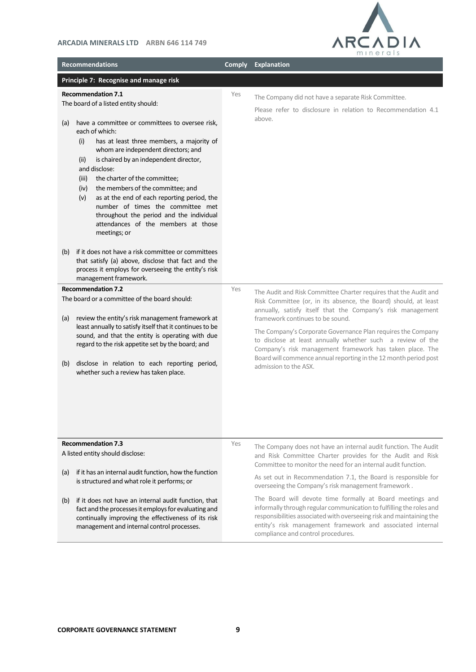

| <b>Recommendations</b>                                                                                                                                                                                                                                                                                                                                                                                                                                                                                                                                                                           | <b>Comply</b> | <b>Explanation</b>                                                                                                                                                                                                                                                                                                                                                                                                                                                                                                                                                                                                                       |
|--------------------------------------------------------------------------------------------------------------------------------------------------------------------------------------------------------------------------------------------------------------------------------------------------------------------------------------------------------------------------------------------------------------------------------------------------------------------------------------------------------------------------------------------------------------------------------------------------|---------------|------------------------------------------------------------------------------------------------------------------------------------------------------------------------------------------------------------------------------------------------------------------------------------------------------------------------------------------------------------------------------------------------------------------------------------------------------------------------------------------------------------------------------------------------------------------------------------------------------------------------------------------|
| Principle 7: Recognise and manage risk                                                                                                                                                                                                                                                                                                                                                                                                                                                                                                                                                           |               |                                                                                                                                                                                                                                                                                                                                                                                                                                                                                                                                                                                                                                          |
| <b>Recommendation 7.1</b><br>The board of a listed entity should:<br>have a committee or committees to oversee risk,<br>(a)<br>each of which:<br>has at least three members, a majority of<br>(i)<br>whom are independent directors; and<br>is chaired by an independent director,<br>(ii)<br>and disclose:<br>the charter of the committee;<br>(iii)<br>the members of the committee; and<br>(iv)<br>as at the end of each reporting period, the<br>(v)<br>number of times the committee met<br>throughout the period and the individual<br>attendances of the members at those<br>meetings; or | Yes           | The Company did not have a separate Risk Committee.<br>Please refer to disclosure in relation to Recommendation 4.1<br>above.                                                                                                                                                                                                                                                                                                                                                                                                                                                                                                            |
| if it does not have a risk committee or committees<br>(b)<br>that satisfy (a) above, disclose that fact and the<br>process it employs for overseeing the entity's risk<br>management framework.                                                                                                                                                                                                                                                                                                                                                                                                  |               |                                                                                                                                                                                                                                                                                                                                                                                                                                                                                                                                                                                                                                          |
| <b>Recommendation 7.2</b><br>The board or a committee of the board should:<br>review the entity's risk management framework at<br>(a)<br>least annually to satisfy itself that it continues to be<br>sound, and that the entity is operating with due<br>regard to the risk appetite set by the board; and<br>disclose in relation to each reporting period,<br>(b)<br>whether such a review has taken place.                                                                                                                                                                                    | Yes           | The Audit and Risk Committee Charter requires that the Audit and<br>Risk Committee (or, in its absence, the Board) should, at least<br>annually, satisfy itself that the Company's risk management<br>framework continues to be sound.<br>The Company's Corporate Governance Plan requires the Company<br>to disclose at least annually whether such a review of the<br>Company's risk management framework has taken place. The<br>Board will commence annual reporting in the 12 month period post<br>admission to the ASX.                                                                                                            |
| <b>Recommendation 7.3</b><br>A listed entity should disclose:<br>if it has an internal audit function, how the function<br>(a)<br>is structured and what role it performs; or<br>if it does not have an internal audit function, that<br>(b)<br>fact and the processes it employs for evaluating and<br>continually improving the effectiveness of its risk<br>management and internal control processes.                                                                                                                                                                                        | Yes           | The Company does not have an internal audit function. The Audit<br>and Risk Committee Charter provides for the Audit and Risk<br>Committee to monitor the need for an internal audit function.<br>As set out in Recommendation 7.1, the Board is responsible for<br>overseeing the Company's risk management framework.<br>The Board will devote time formally at Board meetings and<br>informally through regular communication to fulfilling the roles and<br>responsibilities associated with overseeing risk and maintaining the<br>entity's risk management framework and associated internal<br>compliance and control procedures. |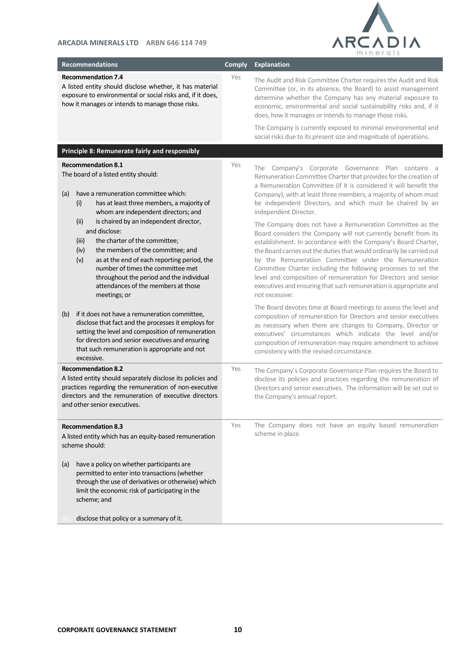<u> 1989 - Johann Stein, marwolaethau a bh</u>

п



| <b>Recommendations</b>                                                                                                                                                                                                                                                              | <b>Comply</b> | <b>Explanation</b>                                                                                                                                                                                                                                                                                                                                                            |
|-------------------------------------------------------------------------------------------------------------------------------------------------------------------------------------------------------------------------------------------------------------------------------------|---------------|-------------------------------------------------------------------------------------------------------------------------------------------------------------------------------------------------------------------------------------------------------------------------------------------------------------------------------------------------------------------------------|
| <b>Recommendation 7.4</b><br>A listed entity should disclose whether, it has material<br>exposure to environmental or social risks and, if it does,<br>how it manages or intends to manage those risks.                                                                             | Yes           | The Audit and Risk Committee Charter requires the Audit and Risk<br>Committee (or, in its absence, the Board) to assist management<br>determine whether the Company has any material exposure to<br>economic, environmental and social sustainability risks and, if it<br>does, how it manages or intends to manage those risks.                                              |
|                                                                                                                                                                                                                                                                                     |               | The Company is currently exposed to minimal environmental and<br>social risks due to its present size and magnitude of operations.                                                                                                                                                                                                                                            |
| Principle 8: Remunerate fairly and responsibly                                                                                                                                                                                                                                      |               |                                                                                                                                                                                                                                                                                                                                                                               |
| <b>Recommendation 8.1</b><br>The board of a listed entity should:                                                                                                                                                                                                                   | Yes           | The Company's Corporate Governance Plan contains a<br>Remuneration Committee Charter that provides for the creation of<br>a Remuneration Committee (if it is considered it will benefit the                                                                                                                                                                                   |
| have a remuneration committee which:<br>(a)<br>(i)<br>has at least three members, a majority of<br>whom are independent directors; and                                                                                                                                              |               | Company), with at least three members, a majority of whom must<br>be independent Directors, and which must be chaired by an<br>independent Director.                                                                                                                                                                                                                          |
| is chaired by an independent director,<br>(ii)<br>and disclose:<br>the charter of the committee;<br>(iii)<br>the members of the committee; and<br>(iv)                                                                                                                              |               | The Company does not have a Remuneration Committee as the<br>Board considers the Company will not currently benefit from its<br>establishment. In accordance with the Company's Board Charter,<br>the Board carries out the duties that would ordinarily be carried out                                                                                                       |
| as at the end of each reporting period, the<br>(v)<br>number of times the committee met<br>throughout the period and the individual<br>attendances of the members at those<br>meetings; or                                                                                          |               | by the Remuneration Committee under the Remuneration<br>Committee Charter including the following processes to set the<br>level and composition of remuneration for Directors and senior<br>executives and ensuring that such remuneration is appropriate and<br>not excessive:                                                                                               |
| if it does not have a remuneration committee,<br>(b)<br>disclose that fact and the processes it employs for<br>setting the level and composition of remuneration<br>for directors and senior executives and ensuring<br>that such remuneration is appropriate and not<br>excessive. |               | The Board devotes time at Board meetings to assess the level and<br>composition of remuneration for Directors and senior executives<br>as necessary when there are changes to Company, Director or<br>executives' circumstances which indicate the level and/or<br>composition of remuneration may require amendment to achieve<br>consistency with the revised circumstance. |
| <b>Recommendation 8.2</b><br>A listed entity should separately disclose its policies and<br>practices regarding the remuneration of non-executive<br>directors and the remuneration of executive directors<br>and other senior executives.                                          | Yes           | The Company's Corporate Governance Plan requires the Board to<br>disclose its policies and practices regarding the remuneration of<br>Directors and senior executives. The information will be set out in<br>the Company's annual report.                                                                                                                                     |
| <b>Recommendation 8.3</b><br>A listed entity which has an equity-based remuneration<br>scheme should:                                                                                                                                                                               | Yes           | The Company does not have an equity based remuneration<br>scheme in place.                                                                                                                                                                                                                                                                                                    |
| have a policy on whether participants are<br>(a)<br>permitted to enter into transactions (whether<br>through the use of derivatives or otherwise) which<br>limit the economic risk of participating in the<br>scheme; and                                                           |               |                                                                                                                                                                                                                                                                                                                                                                               |
| disclose that policy or a summary of it.                                                                                                                                                                                                                                            |               |                                                                                                                                                                                                                                                                                                                                                                               |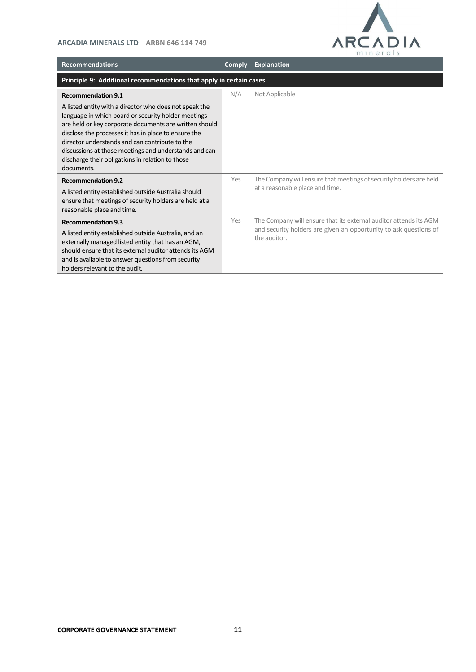

| <b>Recommendations</b>                                                                                                                                                                                                                                                                                                                                                                                                                    | <b>Comply</b> | <b>Explanation</b>                                                                                                                                     |  |  |
|-------------------------------------------------------------------------------------------------------------------------------------------------------------------------------------------------------------------------------------------------------------------------------------------------------------------------------------------------------------------------------------------------------------------------------------------|---------------|--------------------------------------------------------------------------------------------------------------------------------------------------------|--|--|
| Principle 9: Additional recommendations that apply in certain cases                                                                                                                                                                                                                                                                                                                                                                       |               |                                                                                                                                                        |  |  |
| <b>Recommendation 9.1</b><br>A listed entity with a director who does not speak the<br>language in which board or security holder meetings<br>are held or key corporate documents are written should<br>disclose the processes it has in place to ensure the<br>director understands and can contribute to the<br>discussions at those meetings and understands and can<br>discharge their obligations in relation to those<br>documents. | N/A           | Not Applicable                                                                                                                                         |  |  |
| <b>Recommendation 9.2</b><br>A listed entity established outside Australia should<br>ensure that meetings of security holders are held at a<br>reasonable place and time.                                                                                                                                                                                                                                                                 | Yes           | The Company will ensure that meetings of security holders are held<br>at a reasonable place and time.                                                  |  |  |
| <b>Recommendation 9.3</b><br>A listed entity established outside Australia, and an<br>externally managed listed entity that has an AGM,<br>should ensure that its external auditor attends its AGM<br>and is available to answer questions from security<br>holders relevant to the audit.                                                                                                                                                | Yes           | The Company will ensure that its external auditor attends its AGM<br>and security holders are given an opportunity to ask questions of<br>the auditor. |  |  |